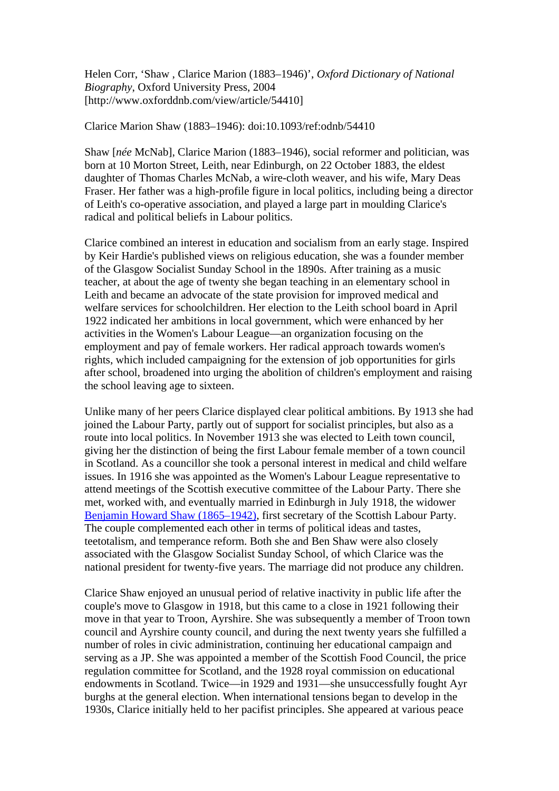Helen Corr, 'Shaw , Clarice Marion (1883–1946)', *Oxford Dictionary of National Biography*, Oxford University Press, 2004 [http://www.oxforddnb.com/view/article/54410]

## Clarice Marion Shaw (1883–1946): doi:10.1093/ref:odnb/54410

Shaw [*née* McNab], Clarice Marion (1883–1946), social reformer and politician, was born at 10 Morton Street, Leith, near Edinburgh, on 22 October 1883, the eldest daughter of Thomas Charles McNab, a wire-cloth weaver, and his wife, Mary Deas Fraser. Her father was a high-profile figure in local politics, including being a director of Leith's co-operative association, and played a large part in moulding Clarice's radical and political beliefs in Labour politics.

Clarice combined an interest in education and socialism from an early stage. Inspired by Keir Hardie's published views on religious education, she was a founder member of the Glasgow Socialist Sunday School in the 1890s. After training as a music teacher, at about the age of twenty she began teaching in an elementary school in Leith and became an advocate of the state provision for improved medical and welfare services for schoolchildren. Her election to the Leith school board in April 1922 indicated her ambitions in local government, which were enhanced by her activities in the Women's Labour League—an organization focusing on the employment and pay of female workers. Her radical approach towards women's rights, which included campaigning for the extension of job opportunities for girls after school, broadened into urging the abolition of children's employment and raising the school leaving age to sixteen.

Unlike many of her peers Clarice displayed clear political ambitions. By 1913 she had joined the Labour Party, partly out of support for socialist principles, but also as a route into local politics. In November 1913 she was elected to Leith town council, giving her the distinction of being the first Labour female member of a town council in Scotland. As a councillor she took a personal interest in medical and child welfare issues. In 1916 she was appointed as the Women's Labour League representative to attend meetings of the Scottish executive committee of the Labour Party. There she met, worked with, and eventually married in Edinburgh in July 1918, the widower [Benjamin Howard Shaw \(1865–1942\)](http://www.oxforddnb.com/view/article/61326/?back=,54410), first secretary of the Scottish Labour Party. The couple complemented each other in terms of political ideas and tastes, teetotalism, and temperance reform. Both she and Ben Shaw were also closely associated with the Glasgow Socialist Sunday School, of which Clarice was the national president for twenty-five years. The marriage did not produce any children.

Clarice Shaw enjoyed an unusual period of relative inactivity in public life after the couple's move to Glasgow in 1918, but this came to a close in 1921 following their move in that year to Troon, Ayrshire. She was subsequently a member of Troon town council and Ayrshire county council, and during the next twenty years she fulfilled a number of roles in civic administration, continuing her educational campaign and serving as a JP. She was appointed a member of the Scottish Food Council, the price regulation committee for Scotland, and the 1928 royal commission on educational endowments in Scotland. Twice—in 1929 and 1931—she unsuccessfully fought Ayr burghs at the general election. When international tensions began to develop in the 1930s, Clarice initially held to her pacifist principles. She appeared at various peace